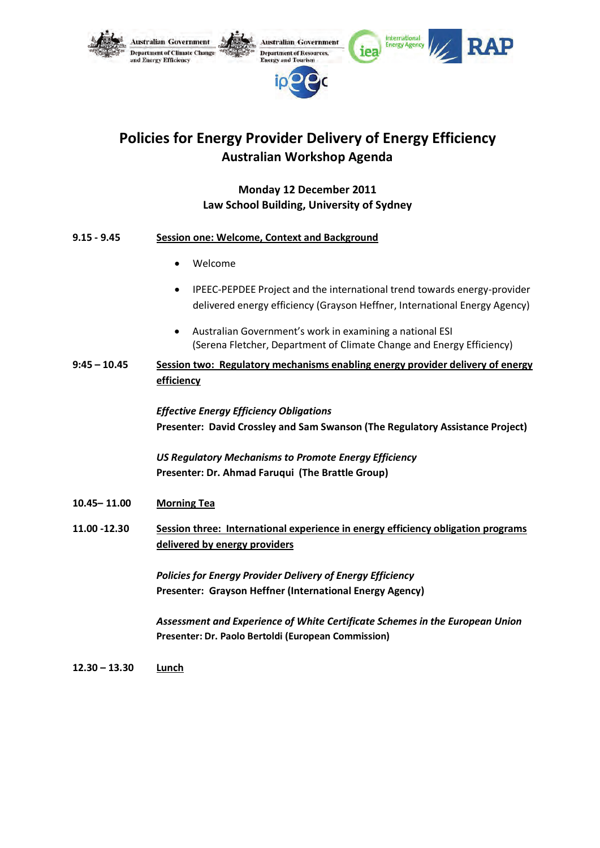

# **Policies for Energy Provider Delivery of Energy Efficiency Australian Workshop Agenda**

## **Monday 12 December 2011 Law School Building, University of Sydney**

| 9.15 - 9.45 | <b>Session one: Welcome, Context and Background</b> |
|-------------|-----------------------------------------------------|
|             |                                                     |

- Welcome
- IPEEC-PEPDEE Project and the international trend towards energy-provider delivered energy efficiency (Grayson Heffner, International Energy Agency)
- Australian Government's work in examining a national ESI (Serena Fletcher, Department of Climate Change and Energy Efficiency)
- **9:45 – 10.45 Session two: Regulatory mechanisms enabling energy provider delivery of energy efficiency**

*Effective Energy Efficiency Obligations* **Presenter: David Crossley and Sam Swanson (The Regulatory Assistance Project)** 

*US Regulatory Mechanisms to Promote Energy Efficiency* **Presenter: Dr. Ahmad Faruqui (The Brattle Group)** 

- **10.45– 11.00 Morning Tea**
- **11.00 -12.30 Session three: International experience in energy efficiency obligation programs delivered by energy providers**

*Policies for Energy Provider Delivery of Energy Efficiency* **Presenter: Grayson Heffner (International Energy Agency)**

*Assessment and Experience of White Certificate Schemes in the European Union* **Presenter: Dr. Paolo Bertoldi (European Commission)**

**12.30 – 13.30 Lunch**